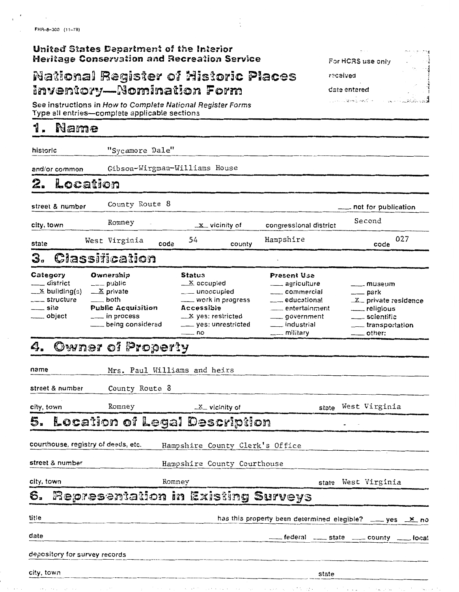# United States Department of the Interior<br>Heritage Conservation and Recreation Service

## **National Register of Historic Places Inventory-Nomination Form**

See instructions in How to Complete National Register Forms<br>Type all entries—complete applicable sections

#### 1. Name

| historic                                                                                            | "Sycamore Dale"                                                                                                                               |                                                                                                                                                                     |                                                                                                                                                                      |                                                                                                                       |
|-----------------------------------------------------------------------------------------------------|-----------------------------------------------------------------------------------------------------------------------------------------------|---------------------------------------------------------------------------------------------------------------------------------------------------------------------|----------------------------------------------------------------------------------------------------------------------------------------------------------------------|-----------------------------------------------------------------------------------------------------------------------|
| and/or common                                                                                       | Gibson-Wirgman-Williams House                                                                                                                 |                                                                                                                                                                     |                                                                                                                                                                      |                                                                                                                       |
| Location<br>2.                                                                                      |                                                                                                                                               |                                                                                                                                                                     |                                                                                                                                                                      |                                                                                                                       |
| street & number                                                                                     | County Route 8                                                                                                                                |                                                                                                                                                                     |                                                                                                                                                                      | _ not for publication                                                                                                 |
| city, town                                                                                          | Romney                                                                                                                                        | $\_x$ vicinity of                                                                                                                                                   | congressional district                                                                                                                                               | Second                                                                                                                |
| state                                                                                               | West Virginia<br>code                                                                                                                         | 54<br>county                                                                                                                                                        | Hampshire                                                                                                                                                            | 027<br>code                                                                                                           |
| 3.                                                                                                  | Classification                                                                                                                                |                                                                                                                                                                     |                                                                                                                                                                      |                                                                                                                       |
| Category<br>___ district<br>$\frac{X}{2}$ building(3)<br>____ structure<br>____ site<br>____ object | Ownership<br>___ public<br>$\mathbb{Z}$ private<br>$\frac{1}{2}$ both<br><b>Public Acquisition</b><br>____ in process<br>___ being considered | Status<br>$\mathbf{X}$ occupied<br>___ unoccupied<br>__ work in progress<br>Accessible<br>$\frac{\mathbf{X}}{}$ yes: restricted<br>____ yes: unrestricted<br>___ no | <b>Present Use</b><br><u>_</u> ___ agriculture<br>commercial<br>educational<br>___ entertainment<br>___ government<br><u>_</u> _ industrial<br><u>_</u> ___ military | ___ museum<br>$\rule{1em}{0.15mm}$ park<br>$X$ private residence<br>_____ scientific<br>transportation<br>____ other: |
| 4.                                                                                                  | Owner of Property                                                                                                                             |                                                                                                                                                                     |                                                                                                                                                                      |                                                                                                                       |
| name                                                                                                | Mrs. Paul Williams and heirs                                                                                                                  |                                                                                                                                                                     |                                                                                                                                                                      |                                                                                                                       |
| street & number                                                                                     | County Route 8                                                                                                                                |                                                                                                                                                                     |                                                                                                                                                                      |                                                                                                                       |
| city, town                                                                                          | Romney                                                                                                                                        | $X$ vicinity of                                                                                                                                                     | state                                                                                                                                                                | West Virginia                                                                                                         |
| 5.                                                                                                  |                                                                                                                                               | Location of Legal Description                                                                                                                                       |                                                                                                                                                                      |                                                                                                                       |
| courthouse, registry of deeds, etc.                                                                 |                                                                                                                                               | Hampshire County Clerk's Office                                                                                                                                     |                                                                                                                                                                      |                                                                                                                       |
| street & number                                                                                     |                                                                                                                                               | Hampshire County Courthouse                                                                                                                                         |                                                                                                                                                                      |                                                                                                                       |
| city, town                                                                                          |                                                                                                                                               | Romney<br>West Virginia<br>state                                                                                                                                    |                                                                                                                                                                      |                                                                                                                       |
| €.                                                                                                  |                                                                                                                                               | Representation in Existing Surveys                                                                                                                                  |                                                                                                                                                                      |                                                                                                                       |
| title                                                                                               |                                                                                                                                               |                                                                                                                                                                     | has this property been determined elegible?                                                                                                                          | <u>____</u> yes __ <del>x</del> _no                                                                                   |
| date                                                                                                |                                                                                                                                               |                                                                                                                                                                     | federal _____ state _____ county __                                                                                                                                  | — Iocal                                                                                                               |
| depository for survey records                                                                       |                                                                                                                                               |                                                                                                                                                                     |                                                                                                                                                                      |                                                                                                                       |
| city, town                                                                                          |                                                                                                                                               |                                                                                                                                                                     | state                                                                                                                                                                |                                                                                                                       |

For HCRS use only

received

date entered

والتبعد يأومها استدر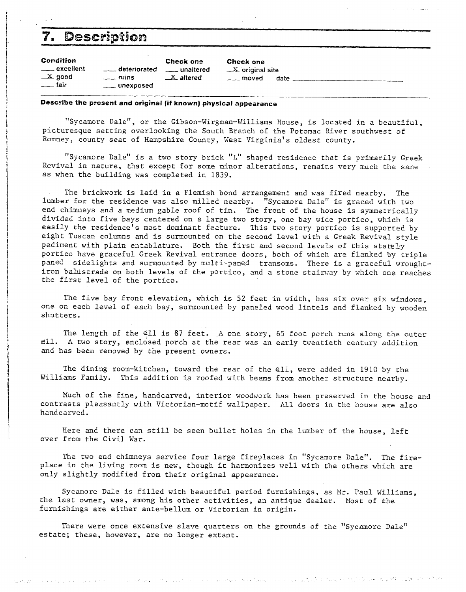| Description<br>7.                                        |                                                       |                                                    |                                                     |      |  |  |  |
|----------------------------------------------------------|-------------------------------------------------------|----------------------------------------------------|-----------------------------------------------------|------|--|--|--|
| Condition<br>____ excellent<br>$X$ good<br>$\equiv$ fair | ____ deteriorated<br>$\equiv$ ruins<br>____ unexposed | Check one<br>___ unaltered<br>$\mathbf{X}$ altered | Check one<br>$X$ original site<br><u>__</u> _ moved | date |  |  |  |

### *Describe the* **present** *and original (if* **known)** *physical* **appearance**

"Sycamore Dale", or the Gibson-Wirgman-Williams House, is located in a beautiful, picturesque setting overlooking the South Branch of the Potomac River southwest of Romney, county seat of Hampshire County, West Virginia's oldest county.

"Sycamore Dale" is a two story brick "L" shaped residence that is primarily Greek Revival in nature, that except for some minor alterations, remains very much the same as when the building was completed in 1839.

. The brickwork is laid in a Flemish bond arrangement and was fired nearby. The lumber for the residence was also milled nearby. "Sycamore Dale" is graced with two end chimneys and a medium gable roof of tin. The front of the house is symmetrically divided into five bays centered on a large two story, one bay wide portico, which is easily the residence's most dominant feature. This two story portico is supported by eight Tuscan columns and is surmounted on the second level with a Greek Revival style pediment with plain entablature. Both the first and second levels of this stately portico have graceful Greek Revival entrance doors, both of which are flanked by triple paned sidelights and surmounted by multi-paned transoms. There is *a* graceful wroughtiron balustrade on both levels of the portico, and a stone stairway by which one reaches the first level of the portico.

The five bay front elevation, which is 52 feet in width, has six over six windows, one on each level of each bay, surmounted by paneled wood lintels and flanked by wooden shutters.

The length of the el1 is 87 feet. **A** one story, 65 foot porch runs along the outer ell. **A** two story, enclosed porch at the rear was an early twentieth century addition and has been removed by the present owners.

The dining room-kitchen, toward the rear of the ell, were added in 1910 by the Williams Family. This addition is roofed with beams from another structure nearby.

Much of the fine, handcarved, interior woodwork has been preserved in the house and contrasts pleasantly with Victorian-motif wallpaper. All doors in the house are also handcarved.

Here and there can still be seen bullet holes in the lumber of the house, left over from the Civil War.

The two end chimneys service four large fireplaces in "Sycamore Dale". The fireplace in the living room is new, though it harmonizes well with the others which are only slightly modified from their original appearance.

Sycamore Dale is filled with beautiful period furnishings, as Mr. Paul Williams, the last owner, was, among his other activities, an antique dealer. Most of the furnishings are either ante-bellum or Victorian in origin.

There were once extensive slave quarters on the grounds of the "Sycamore Dale" estate; these, however, are no longer extant.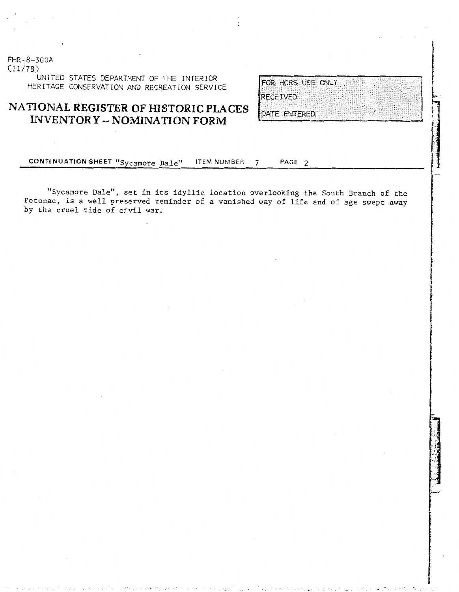$FHR - 8 - 300A$ UNITED STATES DEPARTMENT OF THE INTERIOR<br>HERITAGE CONSERVATION AND RECREATION SERVICE

## **NATIONAL REGISTER OF HISTORIC PLACES 'ENTORY** -- **NOMINATION FORM**

RECEIVED

DATE ENTERED.

**CONTI NUATION SHEET** "sycamore Dale1! ITEM NUMBER 7 **PAGE** <sup>2</sup>

11 Sycamore ale", set in its idyllic location overlooking the South Branch of the Potomac, is a well preserved reminder of a vanished way of life and of age swept away Potomac, is a well preserved reminder of a vanished way of life and of age swept away by the cruel tide of civil war.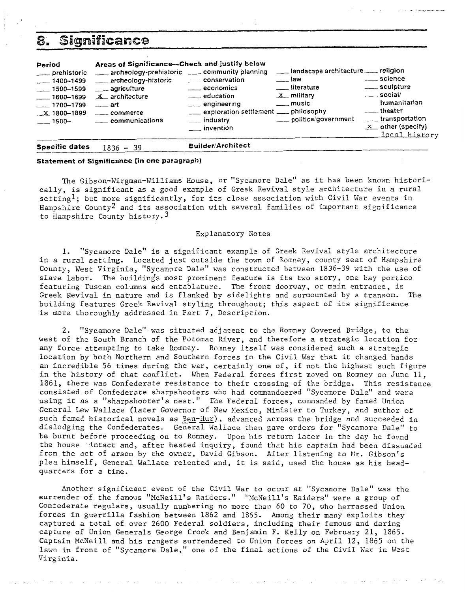## Significance

| 8.                                                                                                                               | Significance                                                                                                                                                                                                                            |                                                                                                                                                |                                                                                                                                           |                                                                                                                                              |
|----------------------------------------------------------------------------------------------------------------------------------|-----------------------------------------------------------------------------------------------------------------------------------------------------------------------------------------------------------------------------------------|------------------------------------------------------------------------------------------------------------------------------------------------|-------------------------------------------------------------------------------------------------------------------------------------------|----------------------------------------------------------------------------------------------------------------------------------------------|
| Period<br>___ prehistoric<br>$-1400 - 1499$<br>$-1500 - 1599$<br>$-1600 - 1699$<br>$-1700 - 1799$<br>$\_x$ 1800-1899<br>—— 1900— | Areas of Significance-Check and justify below<br>archeology-prehistoric ____ community planning<br>archeology-historic<br>____ agriculture<br><b>X</b> architecture<br>$\overline{\phantom{a}}$ art<br>_____ commerce<br>communications | conservation<br>$\frac{1}{2}$ economics<br>____ education<br>engineering<br>exploration settlement ___ philosophy<br>___ industry<br>invention | landscape architecture ____ religion<br>$-1$ law<br>___ literature<br>$\mathbf{x}$ military<br>$\frac{1}{2}$ music<br>politics/government | _____ science<br>_____ sculpture<br>$\equiv$ social/<br>humanitarian<br>___theater<br>transportation<br>$X$ other (specify)<br>local history |
| Specific dates                                                                                                                   | $1836 - 39$                                                                                                                                                                                                                             | <b>Builder/Architect</b>                                                                                                                       |                                                                                                                                           |                                                                                                                                              |

### **Statement of Sjgnificance {in one paragraph)**

The Gibson-Wirgman-Williams House, or "Sycamore Dale" as it has been known historically, is significant as a good example of Greek Revival style architecture in a rural setting<sup>1</sup>; but more significantly, for its close association with Civil War events in Hampshire county2 and its association with several families of important significance to Hampshire County history. 3

#### Explanatory Notes

1. "Sycamore Dale" is a significant example of Greek Revival style architecture in a rural setting. Located just outside the town of Romney, county seat of Hampshire County, West Virginia, "Sycamore Dale" was constructed between 1836-39 with the use of slave labor. The building's most prominent feature is its two story, one bay portico featuring Tuscan columns and entablature. The front doorway, or main entrance, is Greek Revival in nature and is flanked by sidelights and surmounted by a transom. The building features Greek Revival styling throughout; this aspect of its significance is more thoroughly addressed in Part 7, Description.

2. "Sycamore Dale" was situated adjacent to the Romney Covered Bridge, to the west of the South Branch of the Potomac River, and therefore a strategic location for any force attempting to take Romney. Romney itself was considered such a strategic location by both Northern and Southern forces in the Civil War that it changed hands an incredible 56 times during the war, certainly one of, if not the highest such figure in the history of that conflict. When Federal forces first moved on Romney on June 11, 1861, there was Confederate resistance to their crossing of the bridge. This resistance consisted of Confederate sharpshooters who had commandeered "Sycamore Dale" and were using it as a "sharpshooter's nest." The Federal forces, commanded by famed Union General Lew Wallace (later Governor of New Mexico, Minister to Turkey, and author of such famed historical novels as Ben-Hur), advanced across the bridge and succeeded in dislodging the Confederates. General Wallace then gave orders for "Sycamore Dale" to be burnt before proceeding on to Romney. Upon his return later in the day he found the house jintact and, after heated inquiry, found that his captain had been dissuaded from the act of arson by the owner, David Gibson. After listening to Mr. Gibson's plea himself, General Wallace relented and, it is said, used the house as his headquarters for a time.

Another significant event of the Civil War to occur at "Sycamore Dale" was the surrender of the famous "McNeill's Raiders." "McNeill's Raiders" were a group of Confederate regulars, usually numbering no more than 60 to 70, who harrassed Union forces in guerrilla fashion between 1862 and 1865. Among their many exploits they captured a total of over 2600 Federal soldiers, including their famous and daring capture of Union Generals George Crook and Benjamin F. Kelly on February 21, 1865. Captain McNeill and his rangers surrendered to Union forces on April 12, 1865 on the lawn in front of "sycamore Dale," one of the final actions of the Civil War in West Virginia.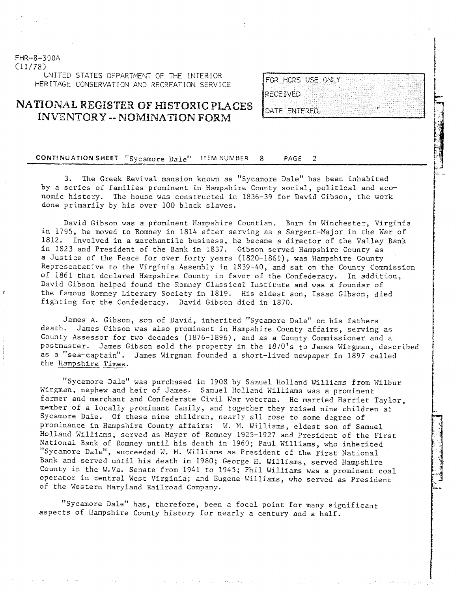C11/78) UNITED STATES DEPARTMENT OF THE INTERIOR HERITAGE CONSERVATION AND RECREATION SERVICE

FHR-8-300A

### **NATIONAL WEGISTEX OF HlSTORIC PLACES**  INVENTORY -- NOMINATION FORM

FOR HCRS USE ONLY RECEIVED DATE ENTERED

#### CONTINUATION SHEET "Sycamore Dale" **ITEM NUMBER** PAGE  $\mathcal{P}$

3. The Greek Revival mansion known as "Sycamore Dale" has been inhabited by a series of families prominent in Hanpshire County social, political and economic history. The house was constructed in 1836-39 for David Gibson, the work done primarily by his over 100 black slaves.

David Gibson was a prominent Hampshire Countian. Born in Winchester, Virginia in 1795, he moved to Romney in 1814 after serving as a Sargent-Major in the War of 1812. Involved in a merchantile business, he became a director of the Valley Bank in 1823 and President of the Bank in 1837. Gibson served Hampshire County as a Justice of the Peace for over forty years (1820-1861), was Hampshire County Representative to the Virginia Assembly in 1839-40, and sat on the County Commission of 1861 that declared Hampshire County in favor of the Confederacy. In addition, David Gibson helped found the Ronney Classical Institute and was a founder of *<sup>8</sup>*the famous Romney Literary Society in 1819. His eldest son, Issac Gibson, died fighting for the Confederacy. David Gibson died in 1870.

James A. Gibson, son of David, inherited "Sycamore Dale" on his fathers death. Janes Gibson was also prominent in Hapshire County affairs, serving as County Assessor for two decades (1876-1896), and as a County Commissioner and a postmaster. James Gibson sold the property in the 1870's to Janes Wirgman, described as a "sea-captain". James Wirgman founded a short-lived newpaper in 1897 called the Hampshire Times.

"Sycamore Dale" was purchased in 1908 by Samuel Holland Williams from Wilbur Wirgman, nephew and heir of James. Sanuel Holland Williams was a prominent farmer and merchant and Confederate Civil War veteran. He married Harriet Taylor, member of a locally prominant family, and together they raised nine children at Sycamore Dale. Of these nine children, nearly all rose to some degree of prominance in Hampshire County affairs: W. M. Williams, eldest son of Samuel Holland Williams, served as Mayor of Romey 1925-1927 and President of the First "Sycamore Dale", succeeded W. M. Williams as President of the First National Bank and served until his death in 1980; George H. Williams, served Hampshire County in the W.Va. Senate from 1941 to 1945; Phil Williams was a prominent coal operator in central West Virginia; and Eugene Killims, who served as President of the Western Maryland Railroad Company.

"Sycamore Dale" has, therefore, been a focal point for many significant aspects of Hampshire County history for nearly a century and a half.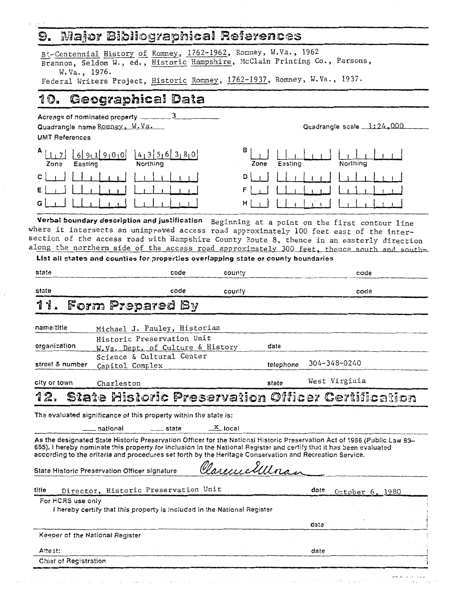#### Major Bibliographical References O.

Bi-Centennial History of Romney, 1762-1962, Romney, W.Va., 1962 Brannon, Seldon W., ed., Historic Hampshire, McClain Printing Co., Parsons, W.Va., 1976.

Federal Writers Project, Historic Romney, 1762-1937, Romney, W.Va., 1937.

#### Geographical Data 10.

| Acreage of nominated property ___                               |                                  |  |  |  |  |  |
|-----------------------------------------------------------------|----------------------------------|--|--|--|--|--|
| Quadrangle name Romney, W.Va.                                   | Quadrangle scale 1:24,000        |  |  |  |  |  |
| <b>UMT References</b>                                           |                                  |  |  |  |  |  |
| A <sub>1</sub><br>91010<br>61911<br>Northing<br>Easting<br>Zone | в<br>Northing<br>Easting<br>Zone |  |  |  |  |  |
| C I                                                             | D                                |  |  |  |  |  |
| Е                                                               |                                  |  |  |  |  |  |
| G                                                               | H                                |  |  |  |  |  |

Verbal boundary description and justification Beginning at a point on the first contour line where it intersects an unimproved access road approximately 100 feet east of the intersection of the access road with Hampshire County Route 8, thence in an easterly direction along the northern side of the access road approximately 300 feet, thence south and south-

List all states and counties for properties overlapping state or county boundaries

| state                                                                                                                                                                                                                                                                                                                                                      |                                                                         | code  | county               |           |      | code            |  |  |
|------------------------------------------------------------------------------------------------------------------------------------------------------------------------------------------------------------------------------------------------------------------------------------------------------------------------------------------------------------|-------------------------------------------------------------------------|-------|----------------------|-----------|------|-----------------|--|--|
| state                                                                                                                                                                                                                                                                                                                                                      |                                                                         | code  | county               |           |      | code            |  |  |
| 11.                                                                                                                                                                                                                                                                                                                                                        | <b>Form Prepared By</b>                                                 |       |                      |           |      |                 |  |  |
| name/title                                                                                                                                                                                                                                                                                                                                                 | Michael J. Pauley, Historian                                            |       |                      |           |      |                 |  |  |
| organization                                                                                                                                                                                                                                                                                                                                               | Historic Preservation Unit<br>W.Va. Dept. of Culture & History          |       |                      | date      |      |                 |  |  |
| street & number                                                                                                                                                                                                                                                                                                                                            | Science & Cultural Center<br>Capitol Complex                            |       |                      | telephone |      | 304-348-0240    |  |  |
| city or town                                                                                                                                                                                                                                                                                                                                               | Charleston                                                              |       |                      | state     |      | West Virginia   |  |  |
| 12.                                                                                                                                                                                                                                                                                                                                                        | State Historic Preservation Officer Certification                       |       |                      |           |      |                 |  |  |
|                                                                                                                                                                                                                                                                                                                                                            | The evaluated significance of this property within the state is:        |       |                      |           |      |                 |  |  |
|                                                                                                                                                                                                                                                                                                                                                            | __ national                                                             | state | - <sup>X</sup> local |           |      |                 |  |  |
| As the designated State Historic Preservation Officer for the National Historic Preservation Act of 1966 (Public Law 89–<br>665), I hereby nominate this property for inclusion in the National Register and certify that it has been evaluated<br>according to the criteria and procedures set forth by the Heritage Conservation and Recreation Service. |                                                                         |       |                      |           |      |                 |  |  |
|                                                                                                                                                                                                                                                                                                                                                            | State Historic Preservation Officer signature                           |       | Charene Ellera       |           |      |                 |  |  |
| title                                                                                                                                                                                                                                                                                                                                                      | Director, Historic Preservation Unit                                    |       |                      |           | date | October 6, 1980 |  |  |
| For HCAS use only                                                                                                                                                                                                                                                                                                                                          |                                                                         |       |                      |           |      |                 |  |  |
|                                                                                                                                                                                                                                                                                                                                                            | Thereby certify that this property is included in the National Register |       |                      |           |      |                 |  |  |
|                                                                                                                                                                                                                                                                                                                                                            |                                                                         |       |                      |           | date |                 |  |  |
| Keeper of the National Register                                                                                                                                                                                                                                                                                                                            |                                                                         |       |                      |           |      |                 |  |  |
| Attest:                                                                                                                                                                                                                                                                                                                                                    |                                                                         |       |                      |           | date |                 |  |  |
| Chief of Registration                                                                                                                                                                                                                                                                                                                                      |                                                                         |       |                      |           |      |                 |  |  |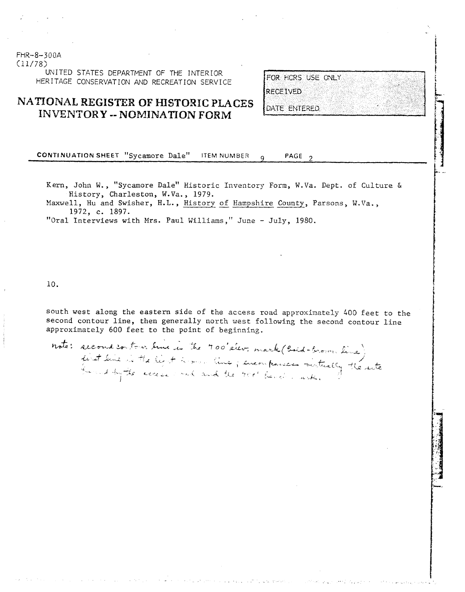### FHR-8-300A (11/78)

UNITED STATES DEPARTMENT OF THE INTERIOR HERITAGE CONSERVATION AND RECREATION SERVICE

### **NATIONAL REGISTER OF HISTORIC PLACES INVENTORY -- NOMINATION FORM**

FOR HCRS USE ONLY **RECEIVED** 

DATE ENTERED

**CONTINUATION SHEET "Sycamore Dale"** ITEM NUMBER **q** PAGE 2

Kern, John W., "Sycamore Dale" Historic Inventory Form, W.Va. Dept. of Culture &<br>Mistory, Charleston, W.Va., 1979.<br>Maxwell, Hu and Swisher, H.L., <u>History of Hampshire County</u>, Parsons, W.Va.,<br>1972. C. 1897. History, Charleston, W.Va., 1979.<br>Maxwell, Hu and Swisher, H.L., History of Hampshire County, Parsons, W.Va.,

1972, c. 1897.<br>
"Oral Interviews with Mrs. Paul Williams," June - July, 1980.

10.

south west along the eastern side of the access road approximately 400 feet to the second contour line, then generally north west following the second contour line approximately 600 feet to the point of beginning.

note: second contros bine is the 700'elev, mark (boid-brown line)<br>first line is the light terms line ; encompanies virtually the site<br>broud by the access out and the 900' bend , with,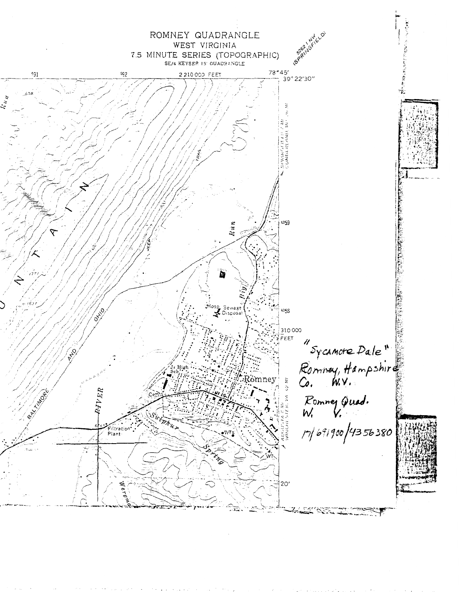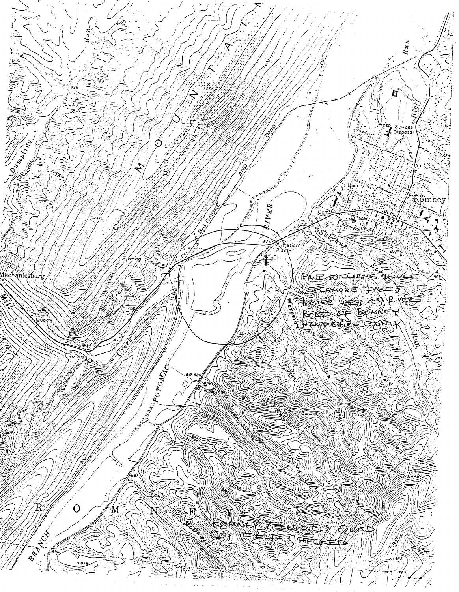